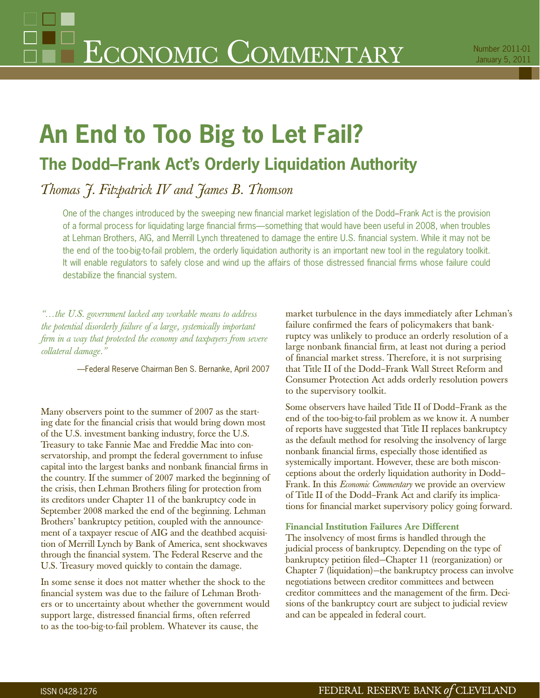## **An End to Too Big to Let Fail?**

## **The Dodd–Frank Act's Orderly Liquidation Authority**

*Thomas J. Fitzpatrick IV and James B. Thomson*

One of the changes introduced by the sweeping new financial market legislation of the Dodd–Frank Act is the provision of a formal process for liquidating large financial firms—something that would have been useful in 2008, when troubles at Lehman Brothers, AIG, and Merrill Lynch threatened to damage the entire U.S. financial system. While it may not be the end of the too-big-to-fail problem, the orderly liquidation authority is an important new tool in the regulatory toolkit. It will enable regulators to safely close and wind up the affairs of those distressed financial firms whose failure could destabilize the financial system.

*"…the U.S. government lacked any workable means to address the potential disorderly failure of a large, systemically important firm in a way that protected the economy and taxpayers from severe collateral damage."*

—Federal Reserve Chairman Ben S. Bernanke, April 2007

Many observers point to the summer of 2007 as the starting date for the financial crisis that would bring down most of the U.S. investment banking industry, force the U.S. Treasury to take Fannie Mae and Freddie Mac into conservatorship, and prompt the federal government to infuse capital into the largest banks and nonbank financial firms in the country. If the summer of 2007 marked the beginning of the crisis, then Lehman Brothers filing for protection from its creditors under Chapter 11 of the bankruptcy code in September 2008 marked the end of the beginning. Lehman Brothers' bankruptcy petition, coupled with the announcement of a taxpayer rescue of AIG and the deathbed acquisition of Merrill Lynch by Bank of America, sent shockwaves through the financial system. The Federal Reserve and the U.S. Treasury moved quickly to contain the damage.

In some sense it does not matter whether the shock to the financial system was due to the failure of Lehman Brothers or to uncertainty about whether the government would support large, distressed financial firms, often referred to as the too-big-to-fail problem. Whatever its cause, the

market turbulence in the days immediately after Lehman's failure confirmed the fears of policymakers that bankruptcy was unlikely to produce an orderly resolution of a large nonbank financial firm, at least not during a period of financial market stress. Therefore, it is not surprising that Title II of the Dodd–Frank Wall Street Reform and Consumer Protection Act adds orderly resolution powers to the supervisory toolkit.

Some observers have hailed Title II of Dodd–Frank as the end of the too-big-to-fail problem as we know it. A number of reports have suggested that Title II replaces bankruptcy as the default method for resolving the insolvency of large nonbank financial firms, especially those identified as systemically important. However, these are both misconceptions about the orderly liquidation authority in Dodd– Frank. In this *Economic Commentary* we provide an overview of Title II of the Dodd–Frank Act and clarify its implications for financial market supervisory policy going forward.

## **Financial Institution Failures Are Different**

The insolvency of most firms is handled through the judicial process of bankruptcy. Depending on the type of bankruptcy petition filed–Chapter 11 (reorganization) or Chapter 7 (liquidation)—the bankruptcy process can involve negotiations between creditor committees and between creditor committees and the management of the firm. Decisions of the bankruptcy court are subject to judicial review and can be appealed in federal court.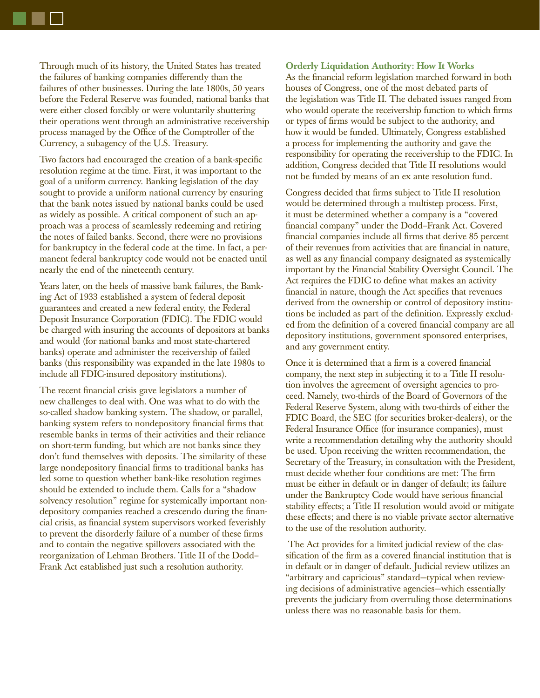Through much of its history, the United States has treated the failures of banking companies differently than the failures of other businesses. During the late 1800s, 50 years before the Federal Reserve was founded, national banks that were either closed forcibly or were voluntarily shuttering their operations went through an administrative receivership process managed by the Office of the Comptroller of the Currency, a subagency of the U.S. Treasury.

Two factors had encouraged the creation of a bank-specific resolution regime at the time. First, it was important to the goal of a uniform currency. Banking legislation of the day sought to provide a uniform national currency by ensuring that the bank notes issued by national banks could be used as widely as possible. A critical component of such an approach was a process of seamlessly redeeming and retiring the notes of failed banks. Second, there were no provisions for bankruptcy in the federal code at the time. In fact, a permanent federal bankruptcy code would not be enacted until nearly the end of the nineteenth century.

Years later, on the heels of massive bank failures, the Banking Act of 1933 established a system of federal deposit guarantees and created a new federal entity, the Federal Deposit Insurance Corporation (FDIC). The FDIC would be charged with insuring the accounts of depositors at banks and would (for national banks and most state-chartered banks) operate and administer the receivership of failed banks (this responsibility was expanded in the late 1980s to include all FDIC-insured depository institutions).

The recent financial crisis gave legislators a number of new challenges to deal with. One was what to do with the so-called shadow banking system. The shadow, or parallel, banking system refers to nondepository financial firms that resemble banks in terms of their activities and their reliance on short-term funding, but which are not banks since they don't fund themselves with deposits. The similarity of these large nondepository financial firms to traditional banks has led some to question whether bank-like resolution regimes should be extended to include them. Calls for a "shadow solvency resolution" regime for systemically important nondepository companies reached a crescendo during the financial crisis, as financial system supervisors worked feverishly to prevent the disorderly failure of a number of these firms and to contain the negative spillovers associated with the reorganization of Lehman Brothers. Title II of the Dodd– Frank Act established just such a resolution authority.

**Orderly Liquidation Authority: How It Works** As the financial reform legislation marched forward in both houses of Congress, one of the most debated parts of the legislation was Title II. The debated issues ranged from who would operate the receivership function to which firms or types of firms would be subject to the authority, and how it would be funded. Ultimately, Congress established a process for implementing the authority and gave the responsibility for operating the receivership to the FDIC. In addition, Congress decided that Title II resolutions would not be funded by means of an ex ante resolution fund.

Congress decided that firms subject to Title II resolution would be determined through a multistep process. First, it must be determined whether a company is a "covered financial company" under the Dodd–Frank Act. Covered financial companies include all firms that derive 85 percent of their revenues from activities that are financial in nature, as well as any financial company designated as systemically important by the Financial Stability Oversight Council. The Act requires the FDIC to define what makes an activity financial in nature, though the Act specifies that revenues derived from the ownership or control of depository institutions be included as part of the definition. Expressly excluded from the definition of a covered financial company are all depository institutions, government sponsored enterprises, and any government entity.

Once it is determined that a firm is a covered financial company, the next step in subjecting it to a Title II resolution involves the agreement of oversight agencies to proceed. Namely, two-thirds of the Board of Governors of the Federal Reserve System, along with two-thirds of either the FDIC Board, the SEC (for securities broker-dealers), or the Federal Insurance Office (for insurance companies), must write a recommendation detailing why the authority should be used. Upon receiving the written recommendation, the Secretary of the Treasury, in consultation with the President, must decide whether four conditions are met: The firm must be either in default or in danger of default; its failure under the Bankruptcy Code would have serious financial stability effects; a Title II resolution would avoid or mitigate these effects; and there is no viable private sector alternative to the use of the resolution authority.

 The Act provides for a limited judicial review of the classification of the firm as a covered financial institution that is in default or in danger of default. Judicial review utilizes an "arbitrary and capricious" standard—typical when reviewing decisions of administrative agencies—which essentially prevents the judiciary from overruling those determinations unless there was no reasonable basis for them.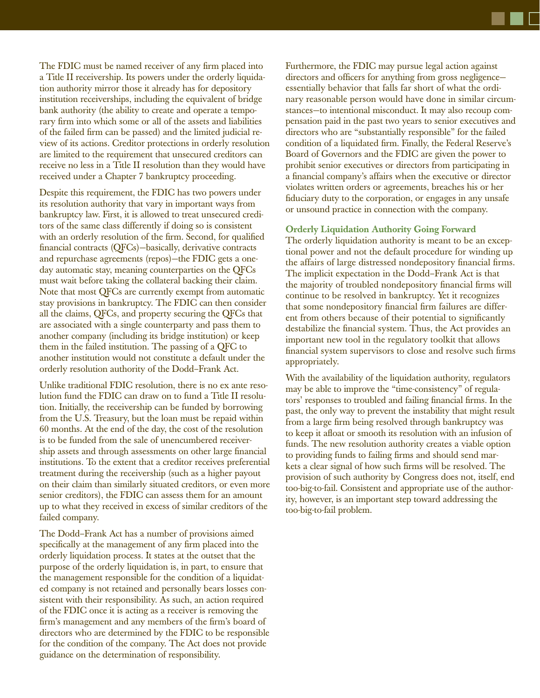The FDIC must be named receiver of any firm placed into a Title II receivership. Its powers under the orderly liquidation authority mirror those it already has for depository institution receiverships, including the equivalent of bridge bank authority (the ability to create and operate a temporary firm into which some or all of the assets and liabilities of the failed firm can be passed) and the limited judicial review of its actions. Creditor protections in orderly resolution are limited to the requirement that unsecured creditors can

Despite this requirement, the FDIC has two powers under its resolution authority that vary in important ways from bankruptcy law. First, it is allowed to treat unsecured creditors of the same class differently if doing so is consistent with an orderly resolution of the firm. Second, for qualified financial contracts  $(QFCs)$ —basically, derivative contracts and repurchase agreements (repos)—the FDIC gets a oneday automatic stay, meaning counterparties on the QFCs must wait before taking the collateral backing their claim. Note that most QFCs are currently exempt from automatic stay provisions in bankruptcy. The FDIC can then consider all the claims, QFCs, and property securing the QFCs that are associated with a single counterparty and pass them to another company (including its bridge institution) or keep them in the failed institution. The passing of a QFC to another institution would not constitute a default under the orderly resolution authority of the Dodd–Frank Act.

receive no less in a Title II resolution than they would have

received under a Chapter 7 bankruptcy proceeding.

Unlike traditional FDIC resolution, there is no ex ante resolution fund the FDIC can draw on to fund a Title II resolution. Initially, the receivership can be funded by borrowing from the U.S. Treasury, but the loan must be repaid within 60 months. At the end of the day, the cost of the resolution is to be funded from the sale of unencumbered receivership assets and through assessments on other large financial institutions. To the extent that a creditor receives preferential treatment during the receivership (such as a higher payout on their claim than similarly situated creditors, or even more senior creditors), the FDIC can assess them for an amount up to what they received in excess of similar creditors of the failed company.

The Dodd–Frank Act has a number of provisions aimed specifically at the management of any firm placed into the orderly liquidation process. It states at the outset that the purpose of the orderly liquidation is, in part, to ensure that the management responsible for the condition of a liquidated company is not retained and personally bears losses consistent with their responsibility. As such, an action required of the FDIC once it is acting as a receiver is removing the firm's management and any members of the firm's board of directors who are determined by the FDIC to be responsible for the condition of the company. The Act does not provide guidance on the determination of responsibility.

Furthermore, the FDIC may pursue legal action against directors and officers for anything from gross negligenceessentially behavior that falls far short of what the ordinary reasonable person would have done in similar circumstances—to intentional misconduct. It may also recoup compensation paid in the past two years to senior executives and directors who are "substantially responsible" for the failed condition of a liquidated firm. Finally, the Federal Reserve's Board of Governors and the FDIC are given the power to prohibit senior executives or directors from participating in a financial company's affairs when the executive or director violates written orders or agreements, breaches his or her fiduciary duty to the corporation, or engages in any unsafe or unsound practice in connection with the company.

## **Orderly Liquidation Authority Going Forward**

The orderly liquidation authority is meant to be an exceptional power and not the default procedure for winding up the affairs of large distressed nondepository financial firms. The implicit expectation in the Dodd–Frank Act is that the majority of troubled nondepository financial firms will continue to be resolved in bankruptcy. Yet it recognizes that some nondepository financial firm failures are different from others because of their potential to significantly destabilize the financial system. Thus, the Act provides an important new tool in the regulatory toolkit that allows financial system supervisors to close and resolve such firms appropriately.

With the availability of the liquidation authority, regulators may be able to improve the "time-consistency" of regulators' responses to troubled and failing financial firms. In the past, the only way to prevent the instability that might result from a large firm being resolved through bankruptcy was to keep it afloat or smooth its resolution with an infusion of funds. The new resolution authority creates a viable option to providing funds to failing firms and should send markets a clear signal of how such firms will be resolved. The provision of such authority by Congress does not, itself, end too-big-to-fail. Consistent and appropriate use of the authority, however, is an important step toward addressing the too-big-to-fail problem.